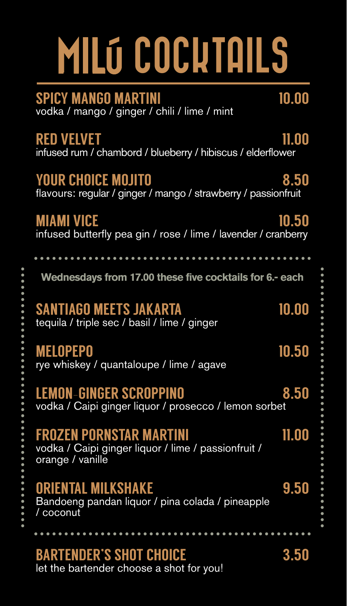# **MILÓ COCKTAILS**

SPICY MANGO MARTINI 10.00 vodka / mango / ginger / chili / lime / mint

RED VELVET THE REDUCE OF THE REDUCED METHOD. infused rum / chambord / blueberry / hibiscus / elderflower

#### YOUR CHOICE MOJITO 8.50

flavours: regular / ginger / mango / strawberry / passionfruit

#### MIAMI VICE 10.50 infused butterfly pea gin / rose / lime / lavender / cranberry

**Wednesdays from 17.00 these five cocktails for 6.- each**

#### SANTIAGO MEETS JAKARTA 10.00

tequila / triple sec / basil / lime / ginger

MELOPEPO 10.50 rye whiskey / quantaloupe / lime / agave

LEMON-GINGER SCROPPINO 8.50 vodka / Caipi ginger liquor / prosecco / lemon sorbet

#### FROZEN PORNSTAR MARTINI 11.00

vodka / Caipi ginger liquor / lime / passionfruit / orange / vanille

#### ORIENTAL MILKSHAKE 9.50

Bandoeng pandan liquor / pina colada / pineapple / coconut

. . . . . . . . . . . . . . .

### BARTENDER'S SHOT CHOICE 3.50

let the bartender choose a shot for you!